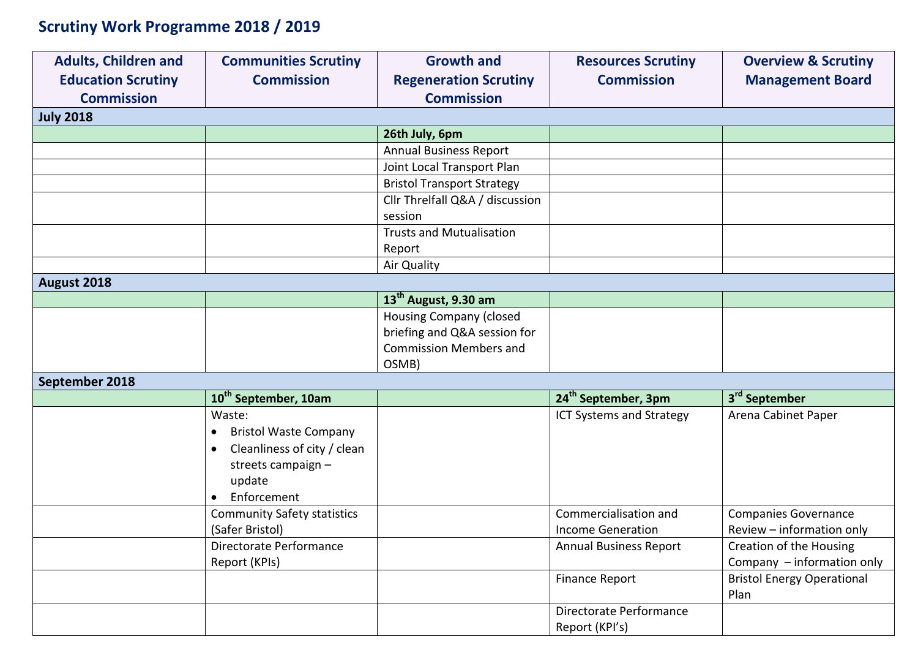## **Scrutiny Work Programme 2018 / 2019**

| <b>Adults, Children and</b> | <b>Communities Scrutiny</b>               | <b>Growth and</b>                 | <b>Resources Scrutiny</b>       | <b>Overview &amp; Scrutiny</b>    |
|-----------------------------|-------------------------------------------|-----------------------------------|---------------------------------|-----------------------------------|
| <b>Education Scrutiny</b>   | <b>Commission</b>                         | <b>Regeneration Scrutiny</b>      | <b>Commission</b>               | <b>Management Board</b>           |
| <b>Commission</b>           |                                           | <b>Commission</b>                 |                                 |                                   |
| <b>July 2018</b>            |                                           |                                   |                                 |                                   |
|                             |                                           | 26th July, 6pm                    |                                 |                                   |
|                             |                                           | <b>Annual Business Report</b>     |                                 |                                   |
|                             |                                           | Joint Local Transport Plan        |                                 |                                   |
|                             |                                           | <b>Bristol Transport Strategy</b> |                                 |                                   |
|                             |                                           | Cllr Threlfall Q&A / discussion   |                                 |                                   |
|                             |                                           | session                           |                                 |                                   |
|                             |                                           | <b>Trusts and Mutualisation</b>   |                                 |                                   |
|                             |                                           | Report                            |                                 |                                   |
|                             |                                           | Air Quality                       |                                 |                                   |
| August 2018                 |                                           |                                   |                                 |                                   |
|                             |                                           | 13 <sup>th</sup> August, 9.30 am  |                                 |                                   |
|                             |                                           | Housing Company (closed           |                                 |                                   |
|                             |                                           | briefing and Q&A session for      |                                 |                                   |
|                             |                                           | <b>Commission Members and</b>     |                                 |                                   |
|                             |                                           | OSMB)                             |                                 |                                   |
| September 2018              |                                           |                                   |                                 |                                   |
|                             | 10 <sup>th</sup> September, 10am          |                                   | 24 <sup>th</sup> September, 3pm | 3 <sup>rd</sup> September         |
|                             | Waste:                                    |                                   | <b>ICT Systems and Strategy</b> | Arena Cabinet Paper               |
|                             | <b>Bristol Waste Company</b><br>$\bullet$ |                                   |                                 |                                   |
|                             | Cleanliness of city / clean<br>$\bullet$  |                                   |                                 |                                   |
|                             | streets campaign -                        |                                   |                                 |                                   |
|                             | update                                    |                                   |                                 |                                   |
|                             | Enforcement                               |                                   |                                 |                                   |
|                             | <b>Community Safety statistics</b>        |                                   | Commercialisation and           | <b>Companies Governance</b>       |
|                             | (Safer Bristol)                           |                                   | <b>Income Generation</b>        | Review - information only         |
|                             | Directorate Performance                   |                                   | <b>Annual Business Report</b>   | Creation of the Housing           |
|                             | Report (KPIs)                             |                                   |                                 | Company - information only        |
|                             |                                           |                                   | <b>Finance Report</b>           | <b>Bristol Energy Operational</b> |
|                             |                                           |                                   |                                 | Plan                              |
|                             |                                           |                                   | Directorate Performance         |                                   |
|                             |                                           |                                   | Report (KPI's)                  |                                   |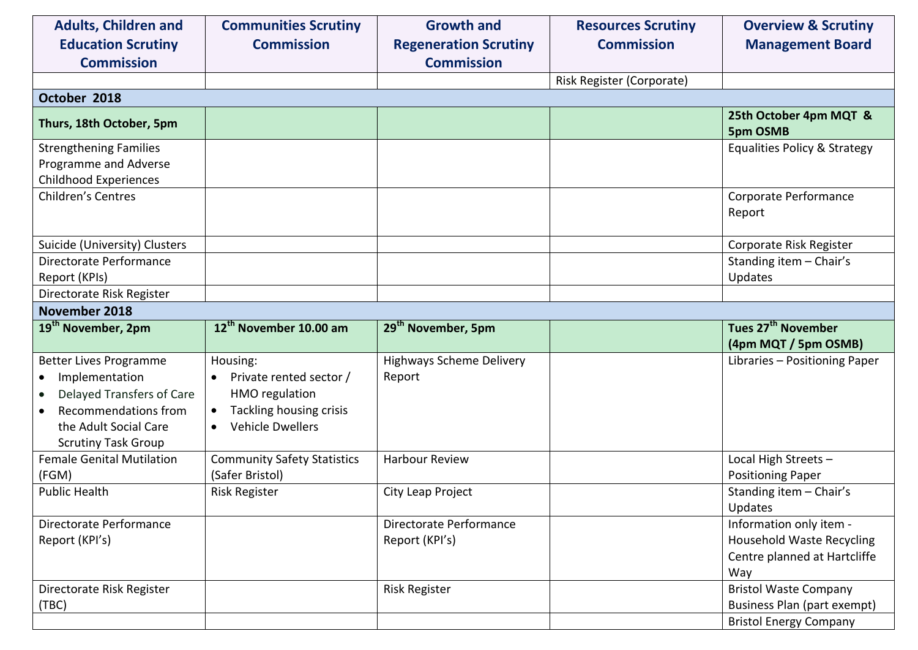| <b>Adults, Children and</b><br><b>Education Scrutiny</b><br><b>Commission</b>                                                                               | <b>Communities Scrutiny</b><br><b>Commission</b>                                                                                | <b>Growth and</b><br><b>Regeneration Scrutiny</b><br><b>Commission</b> | <b>Resources Scrutiny</b><br><b>Commission</b> | <b>Overview &amp; Scrutiny</b><br><b>Management Board</b>                                          |
|-------------------------------------------------------------------------------------------------------------------------------------------------------------|---------------------------------------------------------------------------------------------------------------------------------|------------------------------------------------------------------------|------------------------------------------------|----------------------------------------------------------------------------------------------------|
|                                                                                                                                                             |                                                                                                                                 |                                                                        | Risk Register (Corporate)                      |                                                                                                    |
| October 2018                                                                                                                                                |                                                                                                                                 |                                                                        |                                                |                                                                                                    |
| Thurs, 18th October, 5pm                                                                                                                                    |                                                                                                                                 |                                                                        |                                                | 25th October 4pm MQT &<br><b>5pm OSMB</b>                                                          |
| <b>Strengthening Families</b><br>Programme and Adverse<br><b>Childhood Experiences</b>                                                                      |                                                                                                                                 |                                                                        |                                                | <b>Equalities Policy &amp; Strategy</b>                                                            |
| <b>Children's Centres</b>                                                                                                                                   |                                                                                                                                 |                                                                        |                                                | Corporate Performance<br>Report                                                                    |
| Suicide (University) Clusters                                                                                                                               |                                                                                                                                 |                                                                        |                                                | Corporate Risk Register                                                                            |
| Directorate Performance<br>Report (KPIs)                                                                                                                    |                                                                                                                                 |                                                                        |                                                | Standing item - Chair's<br>Updates                                                                 |
| Directorate Risk Register                                                                                                                                   |                                                                                                                                 |                                                                        |                                                |                                                                                                    |
| November 2018                                                                                                                                               |                                                                                                                                 |                                                                        |                                                |                                                                                                    |
| 19 <sup>th</sup> November, 2pm                                                                                                                              | 12 <sup>th</sup> November 10.00 am                                                                                              | 29 <sup>th</sup> November, 5pm                                         |                                                | Tues 27 <sup>th</sup> November<br>(4pm MQT / 5pm OSMB)                                             |
| <b>Better Lives Programme</b><br>Implementation<br>Delayed Transfers of Care<br>Recommendations from<br>the Adult Social Care<br><b>Scrutiny Task Group</b> | Housing:<br>Private rented sector /<br>$\bullet$<br><b>HMO</b> regulation<br>Tackling housing crisis<br><b>Vehicle Dwellers</b> | <b>Highways Scheme Delivery</b><br>Report                              |                                                | Libraries - Positioning Paper                                                                      |
| <b>Female Genital Mutilation</b><br>(FGM)                                                                                                                   | <b>Community Safety Statistics</b><br>(Safer Bristol)                                                                           | <b>Harbour Review</b>                                                  |                                                | Local High Streets -<br><b>Positioning Paper</b>                                                   |
| <b>Public Health</b>                                                                                                                                        | <b>Risk Register</b>                                                                                                            | City Leap Project                                                      |                                                | Standing item - Chair's<br>Updates                                                                 |
| Directorate Performance<br>Report (KPI's)                                                                                                                   |                                                                                                                                 | Directorate Performance<br>Report (KPI's)                              |                                                | Information only item -<br><b>Household Waste Recycling</b><br>Centre planned at Hartcliffe<br>Way |
| Directorate Risk Register<br>(TBC)                                                                                                                          |                                                                                                                                 | <b>Risk Register</b>                                                   |                                                | <b>Bristol Waste Company</b><br>Business Plan (part exempt)<br><b>Bristol Energy Company</b>       |
|                                                                                                                                                             |                                                                                                                                 |                                                                        |                                                |                                                                                                    |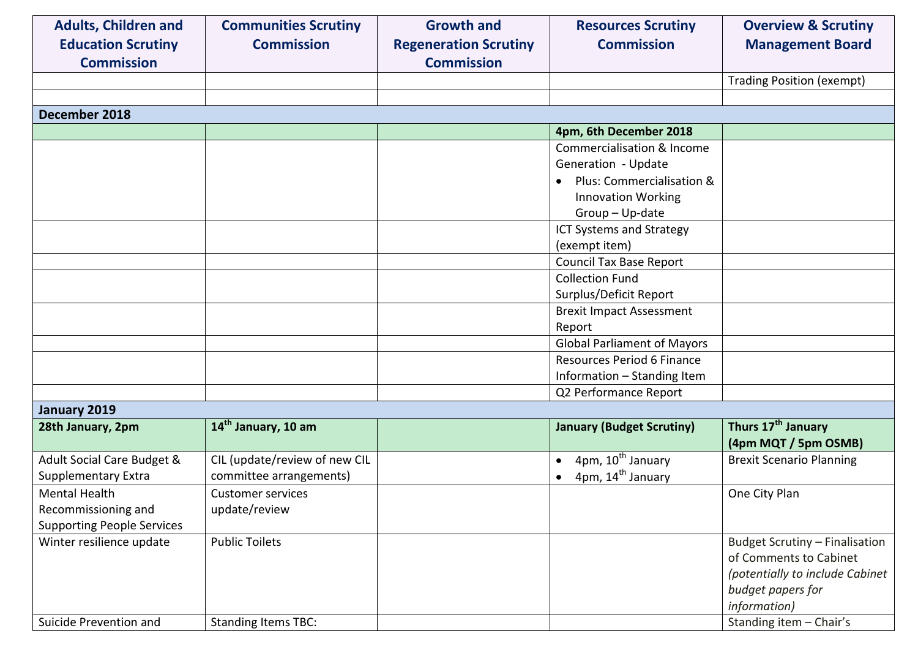| <b>Adults, Children and</b><br><b>Education Scrutiny</b><br><b>Commission</b> | <b>Communities Scrutiny</b><br><b>Commission</b> | <b>Growth and</b><br><b>Regeneration Scrutiny</b><br><b>Commission</b> | <b>Resources Scrutiny</b><br><b>Commission</b> | <b>Overview &amp; Scrutiny</b><br><b>Management Board</b> |
|-------------------------------------------------------------------------------|--------------------------------------------------|------------------------------------------------------------------------|------------------------------------------------|-----------------------------------------------------------|
|                                                                               |                                                  |                                                                        |                                                | <b>Trading Position (exempt)</b>                          |
|                                                                               |                                                  |                                                                        |                                                |                                                           |
| December 2018                                                                 |                                                  |                                                                        |                                                |                                                           |
|                                                                               |                                                  |                                                                        | 4pm, 6th December 2018                         |                                                           |
|                                                                               |                                                  |                                                                        | Commercialisation & Income                     |                                                           |
|                                                                               |                                                  |                                                                        | Generation - Update                            |                                                           |
|                                                                               |                                                  |                                                                        | Plus: Commercialisation &<br>$\bullet$         |                                                           |
|                                                                               |                                                  |                                                                        | <b>Innovation Working</b>                      |                                                           |
|                                                                               |                                                  |                                                                        | Group - Up-date                                |                                                           |
|                                                                               |                                                  |                                                                        | <b>ICT Systems and Strategy</b>                |                                                           |
|                                                                               |                                                  |                                                                        | (exempt item)                                  |                                                           |
|                                                                               |                                                  |                                                                        | <b>Council Tax Base Report</b>                 |                                                           |
|                                                                               |                                                  |                                                                        | <b>Collection Fund</b>                         |                                                           |
|                                                                               |                                                  |                                                                        | Surplus/Deficit Report                         |                                                           |
|                                                                               |                                                  |                                                                        | <b>Brexit Impact Assessment</b>                |                                                           |
|                                                                               |                                                  |                                                                        | Report                                         |                                                           |
|                                                                               |                                                  |                                                                        | <b>Global Parliament of Mayors</b>             |                                                           |
|                                                                               |                                                  |                                                                        | Resources Period 6 Finance                     |                                                           |
|                                                                               |                                                  |                                                                        | Information - Standing Item                    |                                                           |
|                                                                               |                                                  |                                                                        | Q2 Performance Report                          |                                                           |
| January 2019                                                                  |                                                  |                                                                        |                                                |                                                           |
| 28th January, 2pm                                                             | 14 <sup>th</sup> January, 10 am                  |                                                                        | <b>January (Budget Scrutiny)</b>               | Thurs 17 <sup>th</sup> January<br>(4pm MQT / 5pm OSMB)    |
| Adult Social Care Budget &                                                    | CIL (update/review of new CIL                    |                                                                        | 4pm, 10 <sup>th</sup> January<br>$\bullet$     | <b>Brexit Scenario Planning</b>                           |
| <b>Supplementary Extra</b>                                                    | committee arrangements)                          |                                                                        | 4pm, 14 <sup>th</sup> January                  |                                                           |
| <b>Mental Health</b>                                                          | <b>Customer services</b>                         |                                                                        |                                                | One City Plan                                             |
| Recommissioning and                                                           | update/review                                    |                                                                        |                                                |                                                           |
| <b>Supporting People Services</b>                                             |                                                  |                                                                        |                                                |                                                           |
| Winter resilience update                                                      | <b>Public Toilets</b>                            |                                                                        |                                                | <b>Budget Scrutiny - Finalisation</b>                     |
|                                                                               |                                                  |                                                                        |                                                | of Comments to Cabinet                                    |
|                                                                               |                                                  |                                                                        |                                                | (potentially to include Cabinet                           |
|                                                                               |                                                  |                                                                        |                                                | budget papers for                                         |
|                                                                               |                                                  |                                                                        |                                                | information)                                              |
| Suicide Prevention and                                                        | <b>Standing Items TBC:</b>                       |                                                                        |                                                | Standing item - Chair's                                   |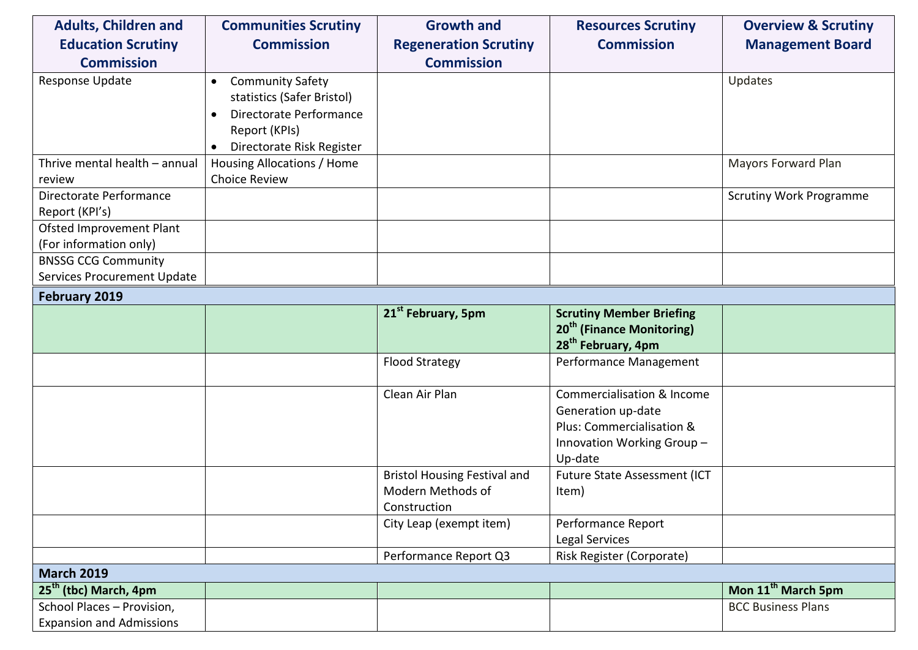| <b>Adults, Children and</b>                                   | <b>Communities Scrutiny</b>                                                                                                                 | <b>Growth and</b>                                                        | <b>Resources Scrutiny</b>                                                                                                        | <b>Overview &amp; Scrutiny</b> |
|---------------------------------------------------------------|---------------------------------------------------------------------------------------------------------------------------------------------|--------------------------------------------------------------------------|----------------------------------------------------------------------------------------------------------------------------------|--------------------------------|
| <b>Education Scrutiny</b>                                     | <b>Commission</b>                                                                                                                           | <b>Regeneration Scrutiny</b>                                             | <b>Commission</b>                                                                                                                | <b>Management Board</b>        |
| <b>Commission</b>                                             |                                                                                                                                             | <b>Commission</b>                                                        |                                                                                                                                  |                                |
| Response Update                                               | <b>Community Safety</b><br>$\bullet$<br>statistics (Safer Bristol)<br>Directorate Performance<br>Report (KPIs)<br>Directorate Risk Register |                                                                          |                                                                                                                                  | Updates                        |
| Thrive mental health - annual                                 | Housing Allocations / Home                                                                                                                  |                                                                          |                                                                                                                                  | Mayors Forward Plan            |
| review                                                        | <b>Choice Review</b>                                                                                                                        |                                                                          |                                                                                                                                  |                                |
| Directorate Performance<br>Report (KPI's)                     |                                                                                                                                             |                                                                          |                                                                                                                                  | <b>Scrutiny Work Programme</b> |
| Ofsted Improvement Plant<br>(For information only)            |                                                                                                                                             |                                                                          |                                                                                                                                  |                                |
| <b>BNSSG CCG Community</b>                                    |                                                                                                                                             |                                                                          |                                                                                                                                  |                                |
| Services Procurement Update                                   |                                                                                                                                             |                                                                          |                                                                                                                                  |                                |
| February 2019                                                 |                                                                                                                                             |                                                                          |                                                                                                                                  |                                |
|                                                               |                                                                                                                                             | 21 <sup>st</sup> February, 5pm                                           | <b>Scrutiny Member Briefing</b><br>20 <sup>th</sup> (Finance Monitoring)<br>28 <sup>th</sup> February, 4pm                       |                                |
|                                                               |                                                                                                                                             | <b>Flood Strategy</b>                                                    | Performance Management                                                                                                           |                                |
|                                                               |                                                                                                                                             | Clean Air Plan                                                           | <b>Commercialisation &amp; Income</b><br>Generation up-date<br>Plus: Commercialisation &<br>Innovation Working Group-<br>Up-date |                                |
|                                                               |                                                                                                                                             | <b>Bristol Housing Festival and</b><br>Modern Methods of<br>Construction | Future State Assessment (ICT<br>Item)                                                                                            |                                |
|                                                               |                                                                                                                                             | City Leap (exempt item)                                                  | Performance Report<br>Legal Services                                                                                             |                                |
|                                                               |                                                                                                                                             | Performance Report Q3                                                    | Risk Register (Corporate)                                                                                                        |                                |
| <b>March 2019</b>                                             |                                                                                                                                             |                                                                          |                                                                                                                                  |                                |
| 25 <sup>th</sup> (tbc) March, 4pm                             |                                                                                                                                             |                                                                          |                                                                                                                                  | Mon 11 <sup>th</sup> March 5pm |
| School Places - Provision,<br><b>Expansion and Admissions</b> |                                                                                                                                             |                                                                          |                                                                                                                                  | <b>BCC Business Plans</b>      |